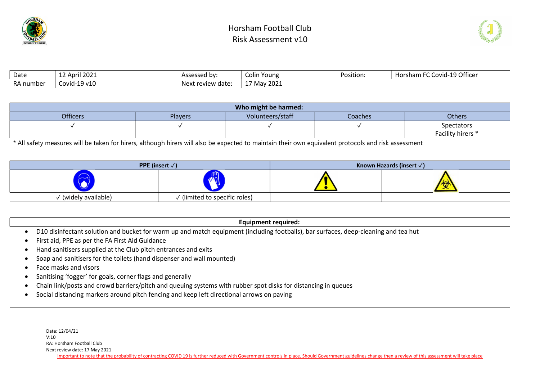



| Date      | 12 April 2021 | Assessed by:      | Colin<br>Young          | Position: | 1-19 Officer<br>$-\sim$ $\sim$<br><b>Horsham FC Covid-19</b> |
|-----------|---------------|-------------------|-------------------------|-----------|--------------------------------------------------------------|
| RA number | Covid-19 v10  | Next review date: | 2021<br>$17$ May $\sim$ |           |                                                              |

|                 |                | Who might be harmed: |         |                   |
|-----------------|----------------|----------------------|---------|-------------------|
| <b>Officers</b> | <b>Players</b> | Volunteers/staff     | Coaches | Others            |
|                 |                |                      |         | Spectators        |
|                 |                |                      |         | Facility hirers * |

\* All safety measures will be taken for hirers, although hirers will also be expected to maintain their own equivalent protocols and risk assessment

|                    | <b>PPE</b> (insert $\sqrt{}$ ) | Known Hazards (insert $\sqrt{}$ ) |
|--------------------|--------------------------------|-----------------------------------|
| —                  | <u>am r</u><br><u>Nol</u>      | w                                 |
| (widely available) | (limited to specific roles)    |                                   |

#### Equipment required:

- D10 disinfectant solution and bucket for warm up and match equipment (including footballs), bar surfaces, deep-cleaning and tea hut
- First aid, PPE as per the FA First Aid Guidance
- Hand sanitisers supplied at the Club pitch entrances and exits
- Soap and sanitisers for the toilets (hand dispenser and wall mounted)
- Face masks and visors
- Sanitising 'fogger' for goals, corner flags and generally
- Chain link/posts and crowd barriers/pitch and queuing systems with rubber spot disks for distancing in queues
- Social distancing markers around pitch fencing and keep left directional arrows on paving

Date: 12/04/21 V:10 RA: Horsham Football Club Next review date: 17 May 2021 Important to note that the probability of contracting COVID 19 is further reduced with Government controls in place. Should Government guidelines change then a review of this assessment will take place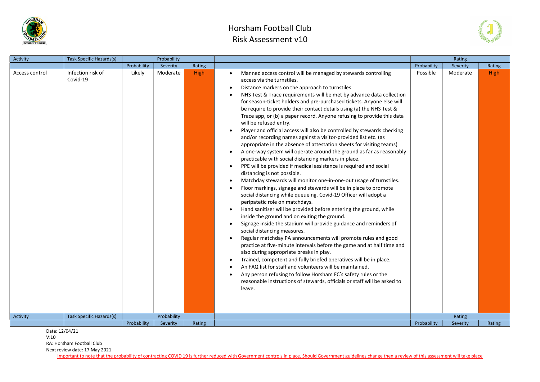



| Activity       | Task Specific Hazards(s)      |             | Probability |             |                                                                                                                                                                                                                                                                                                                                                                                                                                                                                                                                                                                                                                                                                                                                                                                                                                                                                                                                                                                                                                                                                                                                                                                                                                                                                                                                                                                                                                                                                                                                                                                                                                                                                                                                                                                                                                                                                                                       |             | Rating   |        |
|----------------|-------------------------------|-------------|-------------|-------------|-----------------------------------------------------------------------------------------------------------------------------------------------------------------------------------------------------------------------------------------------------------------------------------------------------------------------------------------------------------------------------------------------------------------------------------------------------------------------------------------------------------------------------------------------------------------------------------------------------------------------------------------------------------------------------------------------------------------------------------------------------------------------------------------------------------------------------------------------------------------------------------------------------------------------------------------------------------------------------------------------------------------------------------------------------------------------------------------------------------------------------------------------------------------------------------------------------------------------------------------------------------------------------------------------------------------------------------------------------------------------------------------------------------------------------------------------------------------------------------------------------------------------------------------------------------------------------------------------------------------------------------------------------------------------------------------------------------------------------------------------------------------------------------------------------------------------------------------------------------------------------------------------------------------------|-------------|----------|--------|
|                |                               | Probability | Severity    | Rating      |                                                                                                                                                                                                                                                                                                                                                                                                                                                                                                                                                                                                                                                                                                                                                                                                                                                                                                                                                                                                                                                                                                                                                                                                                                                                                                                                                                                                                                                                                                                                                                                                                                                                                                                                                                                                                                                                                                                       | Probability | Severity | Rating |
| Access control | Infection risk of<br>Covid-19 | Likely      | Moderate    | <b>High</b> | Manned access control will be managed by stewards controlling<br>access via the turnstiles.<br>Distance markers on the approach to turnstiles<br>$\bullet$<br>NHS Test & Trace requirements will be met by advance data collection<br>for season-ticket holders and pre-purchased tickets. Anyone else will<br>be require to provide their contact details using (a) the NHS Test &<br>Trace app, or (b) a paper record. Anyone refusing to provide this data<br>will be refused entry.<br>Player and official access will also be controlled by stewards checking<br>and/or recording names against a visitor-provided list etc. (as<br>appropriate in the absence of attestation sheets for visiting teams)<br>A one-way system will operate around the ground as far as reasonably<br>practicable with social distancing markers in place.<br>PPE will be provided if medical assistance is required and social<br>distancing is not possible.<br>Matchday stewards will monitor one-in-one-out usage of turnstiles.<br>Floor markings, signage and stewards will be in place to promote<br>social distancing while queueing. Covid-19 Officer will adopt a<br>peripatetic role on matchdays.<br>Hand sanitiser will be provided before entering the ground, while<br>$\bullet$<br>inside the ground and on exiting the ground.<br>Signage inside the stadium will provide guidance and reminders of<br>social distancing measures.<br>Regular matchday PA announcements will promote rules and good<br>practice at five-minute intervals before the game and at half time and<br>also during appropriate breaks in play.<br>Trained, competent and fully briefed operatives will be in place.<br>An FAQ list for staff and volunteers will be maintained.<br>Any person refusing to follow Horsham FC's safety rules or the<br>reasonable instructions of stewards, officials or staff will be asked to<br>leave. | Possible    | Moderate | High   |
| Activity       | Task Specific Hazards(s)      |             | Probability |             |                                                                                                                                                                                                                                                                                                                                                                                                                                                                                                                                                                                                                                                                                                                                                                                                                                                                                                                                                                                                                                                                                                                                                                                                                                                                                                                                                                                                                                                                                                                                                                                                                                                                                                                                                                                                                                                                                                                       |             | Rating   |        |
|                |                               | Probability | Severity    | Rating      |                                                                                                                                                                                                                                                                                                                                                                                                                                                                                                                                                                                                                                                                                                                                                                                                                                                                                                                                                                                                                                                                                                                                                                                                                                                                                                                                                                                                                                                                                                                                                                                                                                                                                                                                                                                                                                                                                                                       | Probability | Severity | Rating |

Date: 12/04/21

V:10

RA: Horsham Football Club

Next review date: 17 May 2021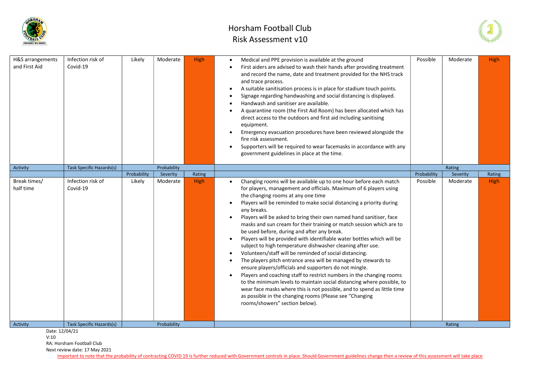



| H&S arrangements<br>and First Aid | Infection risk of<br>Covid-19   | Likely      | Moderate    | <b>High</b> | Medical and PPE provision is available at the ground<br>First aiders are advised to wash their hands after providing treatment<br>and record the name, date and treatment provided for the NHS track<br>and trace process.<br>A suitable sanitisation process is in place for stadium touch points.<br>Signage regarding handwashing and social distancing is displayed.<br>Handwash and sanitiser are available.<br>A quarantine room (the First Aid Room) has been allocated which has<br>direct access to the outdoors and first aid including sanitising<br>equipment.<br>Emergency evacuation procedures have been reviewed alongside the<br>fire risk assessment.<br>Supporters will be required to wear facemasks in accordance with any<br>government guidelines in place at the time.                                                                                                                                                                                                                                                                                                                             | Possible    | Moderate | <b>High</b> |
|-----------------------------------|---------------------------------|-------------|-------------|-------------|----------------------------------------------------------------------------------------------------------------------------------------------------------------------------------------------------------------------------------------------------------------------------------------------------------------------------------------------------------------------------------------------------------------------------------------------------------------------------------------------------------------------------------------------------------------------------------------------------------------------------------------------------------------------------------------------------------------------------------------------------------------------------------------------------------------------------------------------------------------------------------------------------------------------------------------------------------------------------------------------------------------------------------------------------------------------------------------------------------------------------|-------------|----------|-------------|
| Activity                          | <b>Task Specific Hazards(s)</b> |             | Probability |             |                                                                                                                                                                                                                                                                                                                                                                                                                                                                                                                                                                                                                                                                                                                                                                                                                                                                                                                                                                                                                                                                                                                            |             | Rating   |             |
|                                   |                                 | Probability | Severity    | Rating      |                                                                                                                                                                                                                                                                                                                                                                                                                                                                                                                                                                                                                                                                                                                                                                                                                                                                                                                                                                                                                                                                                                                            | Probability | Severity | Rating      |
| Break times/<br>half time         | Infection risk of<br>Covid-19   | Likely      | Moderate    | High        | Changing rooms will be available up to one hour before each match<br>for players, management and officials. Maximum of 6 players using<br>the changing rooms at any one time<br>Players will be reminded to make social distancing a priority during<br>any breaks.<br>Players will be asked to bring their own named hand sanitiser, face<br>masks and sun cream for their training or match session which are to<br>be used before, during and after any break.<br>Players will be provided with identifiable water bottles which will be<br>subject to high temperature dishwasher cleaning after use.<br>Volunteers/staff will be reminded of social distancing.<br>The players pitch entrance area will be managed by stewards to<br>ensure players/officials and supporters do not mingle.<br>Players and coaching staff to restrict numbers in the changing rooms<br>to the minimum levels to maintain social distancing where possible, to<br>wear face masks where this is not possible, and to spend as little time<br>as possible in the changing rooms (Please see "Changing<br>rooms/showers" section below). | Possible    | Moderate | <b>High</b> |
| Activity                          | <b>Task Specific Hazards(s)</b> |             | Probability |             |                                                                                                                                                                                                                                                                                                                                                                                                                                                                                                                                                                                                                                                                                                                                                                                                                                                                                                                                                                                                                                                                                                                            |             | Rating   |             |

V:10

RA: Horsham Football Club

Next review date: 17 May 2021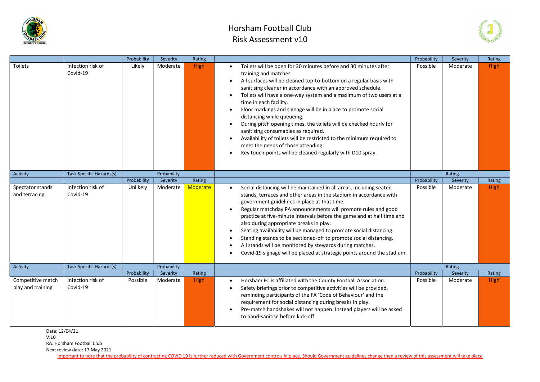



|                                        |                               | Probability | Severity    | Rating   |                                                                                                                                                                                                                                                                                                                                                                                                                                                                                                                                                                                                                                                                                                                                    | Probability | Severity | Rating      |
|----------------------------------------|-------------------------------|-------------|-------------|----------|------------------------------------------------------------------------------------------------------------------------------------------------------------------------------------------------------------------------------------------------------------------------------------------------------------------------------------------------------------------------------------------------------------------------------------------------------------------------------------------------------------------------------------------------------------------------------------------------------------------------------------------------------------------------------------------------------------------------------------|-------------|----------|-------------|
| Toilets                                | Infection risk of<br>Covid-19 | Likely      | Moderate    | High     | Toilets will be open for 30 minutes before and 30 minutes after<br>$\bullet$<br>training and matches<br>All surfaces will be cleaned top-to-bottom on a regular basis with<br>sanitising cleaner in accordance with an approved schedule.<br>Toilets will have a one-way system and a maximum of two users at a<br>time in each facility.<br>Floor markings and signage will be in place to promote social<br>distancing while queueing.<br>During pitch opening times, the toilets will be checked hourly for<br>sanitising consumables as required.<br>Availability of toilets will be restricted to the minimum required to<br>meet the needs of those attending.<br>Key touch-points will be cleaned regularly with D10 spray. | Possible    | Moderate | High        |
| Activity                               | Task Specific Hazards(s)      |             | Probability |          |                                                                                                                                                                                                                                                                                                                                                                                                                                                                                                                                                                                                                                                                                                                                    |             | Rating   |             |
|                                        |                               | Probability | Severity    | Rating   |                                                                                                                                                                                                                                                                                                                                                                                                                                                                                                                                                                                                                                                                                                                                    | Probability | Severity | Rating      |
| Spectator stands<br>and terracing      | Infection risk of<br>Covid-19 | Unlikely    | Moderate    | Moderate | Social distancing will be maintained in all areas, including seated<br>stands, terraces and other areas in the stadium in accordance with<br>government guidelines in place at that time.<br>Regular matchday PA announcements will promote rules and good<br>practice at five-minute intervals before the game and at half time and<br>also during appropriate breaks in play.<br>Seating availability will be managed to promote social distancing.<br>Standing stands to be sectioned-off to promote social distancing.<br>All stands will be monitored by stewards during matches.<br>Covid-19 signage will be placed at strategic points around the stadium.                                                                  | Possible    | Moderate | <b>High</b> |
| Activity                               | Task Specific Hazards(s)      |             | Probability |          |                                                                                                                                                                                                                                                                                                                                                                                                                                                                                                                                                                                                                                                                                                                                    |             | Rating   |             |
|                                        |                               | Probability | Severity    | Rating   |                                                                                                                                                                                                                                                                                                                                                                                                                                                                                                                                                                                                                                                                                                                                    | Probability | Severity | Rating      |
| Competitive match<br>play and training | Infection risk of<br>Covid-19 | Possible    | Moderate    | High     | Horsham FC is affiliated with the County Football Association.<br>Safety briefings prior to competitive activities will be provided,<br>reminding participants of the FA 'Code of Behaviour' and the<br>requirement for social distancing during breaks in play.<br>Pre-match handshakes will not happen. Instead players will be asked<br>to hand-sanitise before kick-off.                                                                                                                                                                                                                                                                                                                                                       | Possible    | Moderate | <b>High</b> |

Date: 12/04/21

V:10

RA: Horsham Football Club

Next review date: 17 May 2021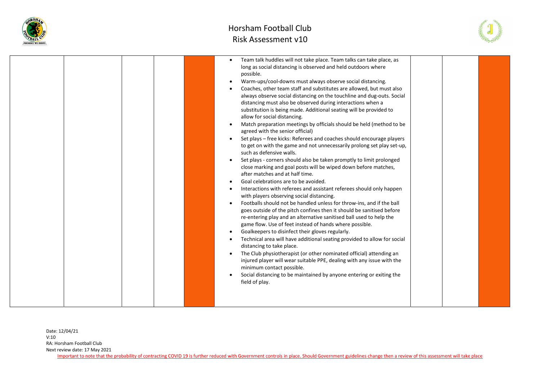



|  | Team talk huddles will not take place. Team talks can take place, as<br>long as social distancing is observed and held outdoors where<br>possible.<br>Warm-ups/cool-downs must always observe social distancing.<br>$\bullet$<br>Coaches, other team staff and substitutes are allowed, but must also<br>always observe social distancing on the touchline and dug-outs. Social<br>distancing must also be observed during interactions when a<br>substitution is being made. Additional seating will be provided to<br>allow for social distancing.<br>Match preparation meetings by officials should be held (method to be<br>$\bullet$<br>agreed with the senior official)<br>Set plays - free kicks: Referees and coaches should encourage players<br>$\bullet$<br>to get on with the game and not unnecessarily prolong set play set-up,<br>such as defensive walls.<br>Set plays - corners should also be taken promptly to limit prolonged<br>$\bullet$<br>close marking and goal posts will be wiped down before matches,<br>after matches and at half time.<br>Goal celebrations are to be avoided.<br>Interactions with referees and assistant referees should only happen<br>with players observing social distancing.<br>Footballs should not be handled unless for throw-ins, and if the ball<br>$\bullet$<br>goes outside of the pitch confines then it should be sanitised before<br>re-entering play and an alternative sanitised ball used to help the<br>game flow. Use of feet instead of hands where possible.<br>Goalkeepers to disinfect their gloves regularly.<br>$\bullet$<br>Technical area will have additional seating provided to allow for social<br>distancing to take place.<br>The Club physiotherapist (or other nominated official) attending an<br>$\bullet$<br>injured player will wear suitable PPE, dealing with any issue with the<br>minimum contact possible.<br>Social distancing to be maintained by anyone entering or exiting the<br>$\bullet$<br>field of play. |
|--|----------------------------------------------------------------------------------------------------------------------------------------------------------------------------------------------------------------------------------------------------------------------------------------------------------------------------------------------------------------------------------------------------------------------------------------------------------------------------------------------------------------------------------------------------------------------------------------------------------------------------------------------------------------------------------------------------------------------------------------------------------------------------------------------------------------------------------------------------------------------------------------------------------------------------------------------------------------------------------------------------------------------------------------------------------------------------------------------------------------------------------------------------------------------------------------------------------------------------------------------------------------------------------------------------------------------------------------------------------------------------------------------------------------------------------------------------------------------------------------------------------------------------------------------------------------------------------------------------------------------------------------------------------------------------------------------------------------------------------------------------------------------------------------------------------------------------------------------------------------------------------------------------------------------------------------------------------------------------------------------------------------|
|  |                                                                                                                                                                                                                                                                                                                                                                                                                                                                                                                                                                                                                                                                                                                                                                                                                                                                                                                                                                                                                                                                                                                                                                                                                                                                                                                                                                                                                                                                                                                                                                                                                                                                                                                                                                                                                                                                                                                                                                                                                |

Date: 12/04/21 V:10 RA: Horsham Football Club Next review date: 17 May 2021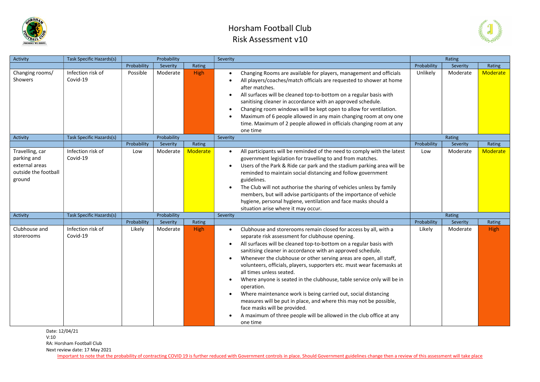



| Activity                                                                           | Task Specific Hazards(s)      |                    | Probability          |                           | Severity               |                                                                                                                                                                                                                                                                                                                                                                                                                                                                                                                                                                                                                                                                                                                                                                                         |                    | Rating               |                    |
|------------------------------------------------------------------------------------|-------------------------------|--------------------|----------------------|---------------------------|------------------------|-----------------------------------------------------------------------------------------------------------------------------------------------------------------------------------------------------------------------------------------------------------------------------------------------------------------------------------------------------------------------------------------------------------------------------------------------------------------------------------------------------------------------------------------------------------------------------------------------------------------------------------------------------------------------------------------------------------------------------------------------------------------------------------------|--------------------|----------------------|--------------------|
|                                                                                    |                               | Probability        | Severity             | Rating                    |                        |                                                                                                                                                                                                                                                                                                                                                                                                                                                                                                                                                                                                                                                                                                                                                                                         | Probability        | Severity             | Rating             |
| Changing rooms/<br>Showers                                                         | Infection risk of<br>Covid-19 | Possible           | Moderate             | <b>High</b>               |                        | Changing Rooms are available for players, management and officials<br>All players/coaches/match officials are requested to shower at home<br>after matches.<br>All surfaces will be cleaned top-to-bottom on a regular basis with<br>sanitising cleaner in accordance with an approved schedule.<br>Changing room windows will be kept open to allow for ventilation.<br>Maximum of 6 people allowed in any main changing room at ony one<br>time. Maximum of 2 people allowed in officials changing room at any<br>one time                                                                                                                                                                                                                                                            | Unlikely           | Moderate             | <b>Moderate</b>    |
| Activity                                                                           | Task Specific Hazards(s)      |                    | Probability          |                           | Severity               |                                                                                                                                                                                                                                                                                                                                                                                                                                                                                                                                                                                                                                                                                                                                                                                         |                    | Rating               |                    |
| Travelling, car<br>parking and<br>external areas<br>outside the football<br>ground | Infection risk of<br>Covid-19 | Probability<br>Low | Severity<br>Moderate | Rating<br><b>Moderate</b> | $\bullet$<br>$\bullet$ | All participants will be reminded of the need to comply with the latest<br>government legislation for travelling to and from matches.<br>Users of the Park & Ride car park and the stadium parking area will be<br>reminded to maintain social distancing and follow government<br>guidelines.<br>The Club will not authorise the sharing of vehicles unless by family<br>members, but will advise participants of the importance of vehicle<br>hygiene, personal hygiene, ventilation and face masks should a<br>situation arise where it may occur.                                                                                                                                                                                                                                   | Probability<br>Low | Severity<br>Moderate | Rating<br>Moderate |
| Activity                                                                           | Task Specific Hazards(s)      |                    | Probability          |                           | Severity               |                                                                                                                                                                                                                                                                                                                                                                                                                                                                                                                                                                                                                                                                                                                                                                                         |                    | Rating               |                    |
|                                                                                    |                               | Probability        | Severity             | Rating                    |                        |                                                                                                                                                                                                                                                                                                                                                                                                                                                                                                                                                                                                                                                                                                                                                                                         | Probability        | Severity             | Rating             |
| Clubhouse and<br>storerooms                                                        | Infection risk of<br>Covid-19 | Likely             | Moderate             | High                      | $\bullet$              | Clubhouse and storerooms remain closed for access by all, with a<br>separate risk assessment for clubhouse opening.<br>All surfaces will be cleaned top-to-bottom on a regular basis with<br>sanitising cleaner in accordance with an approved schedule.<br>Whenever the clubhouse or other serving areas are open, all staff,<br>volunteers, officials, players, supporters etc. must wear facemasks at<br>all times unless seated.<br>Where anyone is seated in the clubhouse, table service only will be in<br>operation.<br>Where maintenance work is being carried out, social distancing<br>measures will be put in place, and where this may not be possible,<br>face masks will be provided.<br>A maximum of three people will be allowed in the club office at any<br>one time | Likely             | Moderate             | High               |

Date: 12/04/21

V:10

RA: Horsham Football Club

Next review date: 17 May 2021